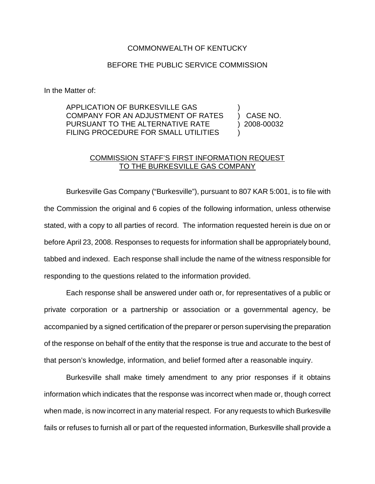## COMMONWEALTH OF KENTUCKY

## BEFORE THE PUBLIC SERVICE COMMISSION

In the Matter of:

APPLICATION OF BURKESVILLE GAS COMPANY FOR AN ADJUSTMENT OF RATES PURSUANT TO THE ALTERNATIVE RATE FILING PROCEDURE FOR SMALL UTILITIES ) ) CASE NO. ) 2008-00032 )

## COMMISSION STAFF'S FIRST INFORMATION REQUEST TO THE BURKESVILLE GAS COMPANY

Burkesville Gas Company ("Burkesville"), pursuant to 807 KAR 5:001, is to file with the Commission the original and 6 copies of the following information, unless otherwise stated, with a copy to all parties of record. The information requested herein is due on or before April 23, 2008. Responses to requests for information shall be appropriately bound, tabbed and indexed. Each response shall include the name of the witness responsible for responding to the questions related to the information provided.

Each response shall be answered under oath or, for representatives of a public or private corporation or a partnership or association or a governmental agency, be accompanied by a signed certification of the preparer or person supervising the preparation of the response on behalf of the entity that the response is true and accurate to the best of that person's knowledge, information, and belief formed after a reasonable inquiry.

Burkesville shall make timely amendment to any prior responses if it obtains information which indicates that the response was incorrect when made or, though correct when made, is now incorrect in any material respect. For any requests to which Burkesville fails or refuses to furnish all or part of the requested information, Burkesville shall provide a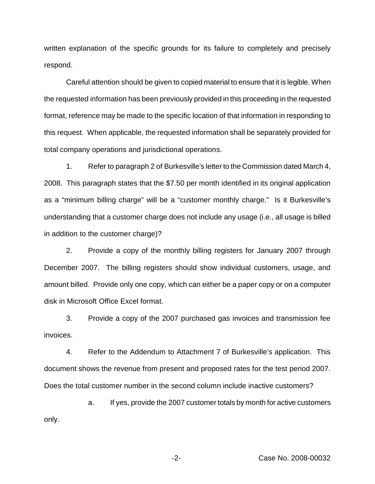written explanation of the specific grounds for its failure to completely and precisely respond.

Careful attention should be given to copied material to ensure that it is legible. When the requested information has been previously provided in this proceeding in the requested format, reference may be made to the specific location of that information in responding to this request. When applicable, the requested information shall be separately provided for total company operations and jurisdictional operations.

1. Refer to paragraph 2 of Burkesville's letter to the Commission dated March 4, 2008. This paragraph states that the \$7.50 per month identified in its original application as a "minimum billing charge" will be a "customer monthly charge." Is it Burkesville's understanding that a customer charge does not include any usage (i.e., all usage is billed in addition to the customer charge)?

2. Provide a copy of the monthly billing registers for January 2007 through December 2007. The billing registers should show individual customers, usage, and amount billed. Provide only one copy, which can either be a paper copy or on a computer disk in Microsoft Office Excel format.

3. Provide a copy of the 2007 purchased gas invoices and transmission fee invoices.

4. Refer to the Addendum to Attachment 7 of Burkesville's application. This document shows the revenue from present and proposed rates for the test period 2007. Does the total customer number in the second column include inactive customers?

a. If yes, provide the 2007 customer totals by month for active customers only.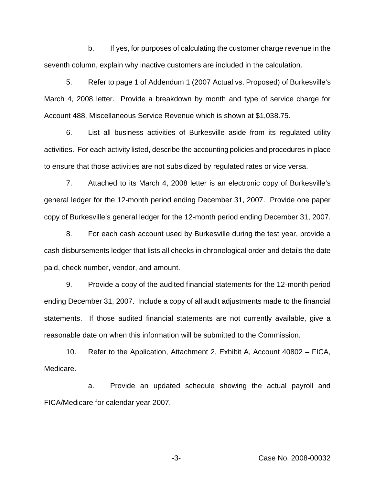b. If yes, for purposes of calculating the customer charge revenue in the seventh column, explain why inactive customers are included in the calculation.

5. Refer to page 1 of Addendum 1 (2007 Actual vs. Proposed) of Burkesville's March 4, 2008 letter. Provide a breakdown by month and type of service charge for Account 488, Miscellaneous Service Revenue which is shown at \$1,038.75.

6. List all business activities of Burkesville aside from its regulated utility activities. For each activity listed, describe the accounting policies and procedures in place to ensure that those activities are not subsidized by regulated rates or vice versa.

7. Attached to its March 4, 2008 letter is an electronic copy of Burkesville's general ledger for the 12-month period ending December 31, 2007. Provide one paper copy of Burkesville's general ledger for the 12-month period ending December 31, 2007.

8. For each cash account used by Burkesville during the test year, provide a cash disbursements ledger that lists all checks in chronological order and details the date paid, check number, vendor, and amount.

9. Provide a copy of the audited financial statements for the 12-month period ending December 31, 2007. Include a copy of all audit adjustments made to the financial statements. If those audited financial statements are not currently available, give a reasonable date on when this information will be submitted to the Commission.

10. Refer to the Application, Attachment 2, Exhibit A, Account 40802 – FICA, Medicare.

a. Provide an updated schedule showing the actual payroll and FICA/Medicare for calendar year 2007.

-3- Case No. 2008-00032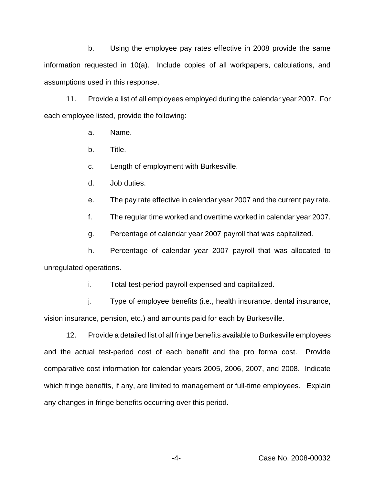b. Using the employee pay rates effective in 2008 provide the same information requested in 10(a). Include copies of all workpapers, calculations, and assumptions used in this response.

11. Provide a list of all employees employed during the calendar year 2007. For each employee listed, provide the following:

- a. Name.
- b. Title.
- c. Length of employment with Burkesville.
- d. Job duties.
- e. The pay rate effective in calendar year 2007 and the current pay rate.
- f. The regular time worked and overtime worked in calendar year 2007.
- g. Percentage of calendar year 2007 payroll that was capitalized.

h. Percentage of calendar year 2007 payroll that was allocated to unregulated operations.

i. Total test-period payroll expensed and capitalized.

j. Type of employee benefits (i.e., health insurance, dental insurance, vision insurance, pension, etc.) and amounts paid for each by Burkesville.

12. Provide a detailed list of all fringe benefits available to Burkesville employees and the actual test-period cost of each benefit and the pro forma cost. Provide comparative cost information for calendar years 2005, 2006, 2007, and 2008. Indicate which fringe benefits, if any, are limited to management or full-time employees. Explain any changes in fringe benefits occurring over this period.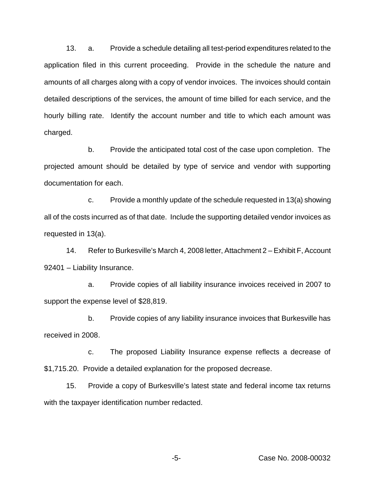13. a. Provide a schedule detailing all test-period expenditures related to the application filed in this current proceeding. Provide in the schedule the nature and amounts of all charges along with a copy of vendor invoices. The invoices should contain detailed descriptions of the services, the amount of time billed for each service, and the hourly billing rate. Identify the account number and title to which each amount was charged.

b. Provide the anticipated total cost of the case upon completion. The projected amount should be detailed by type of service and vendor with supporting documentation for each.

c. Provide a monthly update of the schedule requested in 13(a) showing all of the costs incurred as of that date. Include the supporting detailed vendor invoices as requested in 13(a).

14. Refer to Burkesville's March 4, 2008 letter, Attachment 2 – Exhibit F, Account 92401 – Liability Insurance.

a. Provide copies of all liability insurance invoices received in 2007 to support the expense level of \$28,819.

b. Provide copies of any liability insurance invoices that Burkesville has received in 2008.

c. The proposed Liability Insurance expense reflects a decrease of \$1,715.20. Provide a detailed explanation for the proposed decrease.

15. Provide a copy of Burkesville's latest state and federal income tax returns with the taxpayer identification number redacted.

-5- Case No. 2008-00032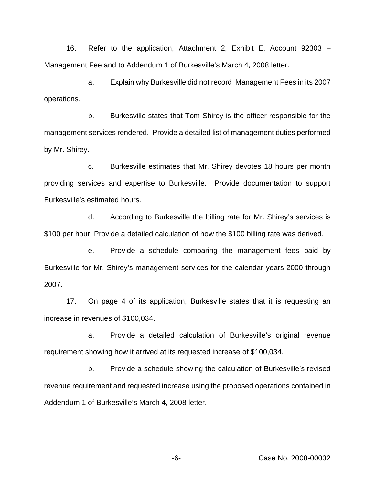16. Refer to the application, Attachment 2, Exhibit E, Account 92303 – Management Fee and to Addendum 1 of Burkesville's March 4, 2008 letter.

a. Explain why Burkesville did not record Management Fees in its 2007 operations.

b. Burkesville states that Tom Shirey is the officer responsible for the management services rendered. Provide a detailed list of management duties performed by Mr. Shirey.

c. Burkesville estimates that Mr. Shirey devotes 18 hours per month providing services and expertise to Burkesville. Provide documentation to support Burkesville's estimated hours.

d. According to Burkesville the billing rate for Mr. Shirey's services is \$100 per hour. Provide a detailed calculation of how the \$100 billing rate was derived.

e. Provide a schedule comparing the management fees paid by Burkesville for Mr. Shirey's management services for the calendar years 2000 through 2007.

17. On page 4 of its application, Burkesville states that it is requesting an increase in revenues of \$100,034.

a. Provide a detailed calculation of Burkesville's original revenue requirement showing how it arrived at its requested increase of \$100,034.

b. Provide a schedule showing the calculation of Burkesville's revised revenue requirement and requested increase using the proposed operations contained in Addendum 1 of Burkesville's March 4, 2008 letter.

-6- Case No. 2008-00032